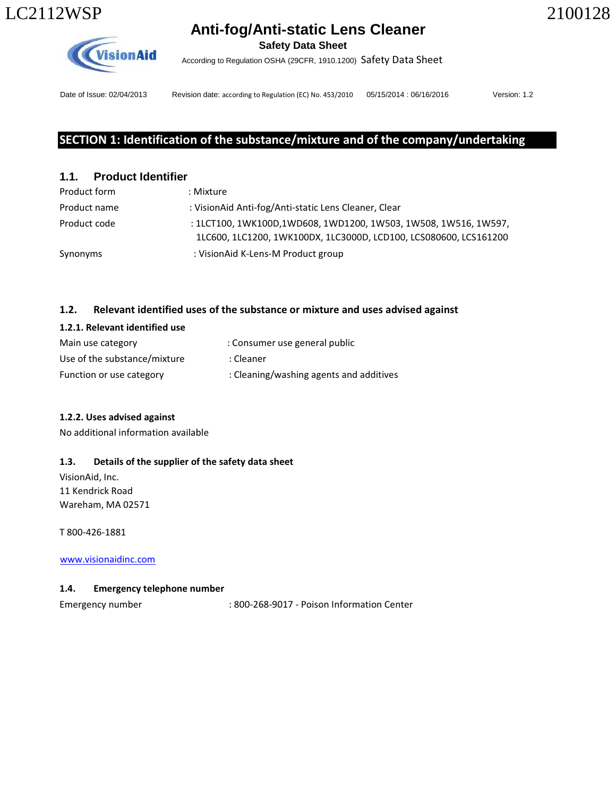**Safety Data Sheet** 

According to Regulation OSHA (29CFR, 1910.1200) Safety Data Sheet



**VisionAid** 

Date of Issue: 02/04/2013 Revision date: according to Regulation (EC) No. 453/2010 05/15/2014 : 06/16/2016 Version: 1.2

# SECTION 1: Identification of the substance/mixture and of the company/undertaking

# **1.1. Product Identifier**

| Product form | : Mixture                                                                                                                            |
|--------------|--------------------------------------------------------------------------------------------------------------------------------------|
| Product name | : VisionAid Anti-fog/Anti-static Lens Cleaner, Clear                                                                                 |
| Product code | : 1LCT100, 1WK100D,1WD608, 1WD1200, 1W503, 1W508, 1W516, 1W597,<br>1LC600, 1LC1200, 1WK100DX, 1LC3000D, LCD100, LCS080600, LCS161200 |
| Synonyms     | : VisionAid K-Lens-M Product group                                                                                                   |

# 1.2. Relevant identified uses of the substance or mixture and uses advised against

| 1.2.1. Relevant identified use |                                         |
|--------------------------------|-----------------------------------------|
| Main use category              | : Consumer use general public           |
| Use of the substance/mixture   | : Cleaner                               |
| Function or use category       | : Cleaning/washing agents and additives |

# 1.2.2. Uses advised against

No additional information available

# 1.3. Details of the supplier of the safety data sheet

VisionAid, Inc. 11 Kendrick Road Wareham, MA 02571

T 800-426-1881

www.visionaidinc.com

# 1.4. Emergency telephone number

Emergency number : 800-268-9017 - Poison Information Center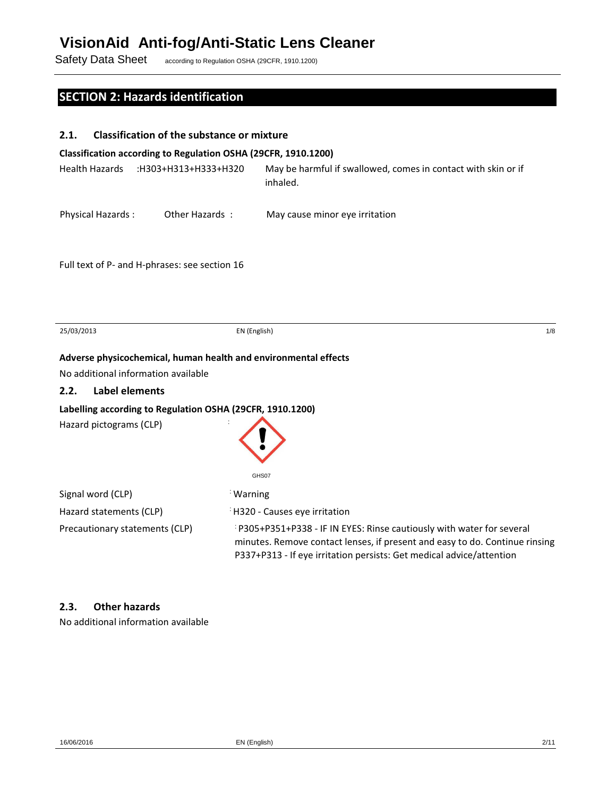Safety Data Sheet according to Regulation OSHA (29CFR, 1910.1200)

# SECTION 2: Hazards identification

| 2.1.                                | <b>Classification of the substance or mixture</b>               |                                                                                                                                                                                                                             |
|-------------------------------------|-----------------------------------------------------------------|-----------------------------------------------------------------------------------------------------------------------------------------------------------------------------------------------------------------------------|
|                                     | Classification according to Regulation OSHA (29CFR, 1910.1200)  |                                                                                                                                                                                                                             |
| <b>Health Hazards</b>               | :H303+H313+H333+H320                                            | May be harmful if swallowed, comes in contact with skin or if<br>inhaled.                                                                                                                                                   |
| Physical Hazards:                   | Other Hazards:                                                  | May cause minor eye irritation                                                                                                                                                                                              |
|                                     | Full text of P- and H-phrases: see section 16                   |                                                                                                                                                                                                                             |
| 25/03/2013                          | EN (English)                                                    | 1/8                                                                                                                                                                                                                         |
|                                     | Adverse physicochemical, human health and environmental effects |                                                                                                                                                                                                                             |
| No additional information available |                                                                 |                                                                                                                                                                                                                             |
| <b>Label elements</b><br>2.2.       |                                                                 |                                                                                                                                                                                                                             |
|                                     | Labelling according to Regulation OSHA (29CFR, 1910.1200)       |                                                                                                                                                                                                                             |
| Hazard pictograms (CLP)             |                                                                 | GHS07                                                                                                                                                                                                                       |
| Signal word (CLP)                   | <b>Warning</b>                                                  |                                                                                                                                                                                                                             |
| Hazard statements (CLP)             |                                                                 | <sup>:</sup> H320 - Causes eye irritation                                                                                                                                                                                   |
| Precautionary statements (CLP)      |                                                                 | P305+P351+P338 - IF IN EYES: Rinse cautiously with water for several<br>minutes. Remove contact lenses, if present and easy to do. Continue rinsing<br>P337+P313 - If eye irritation persists: Get medical advice/attention |

## 2.3. Other hazards

No additional information available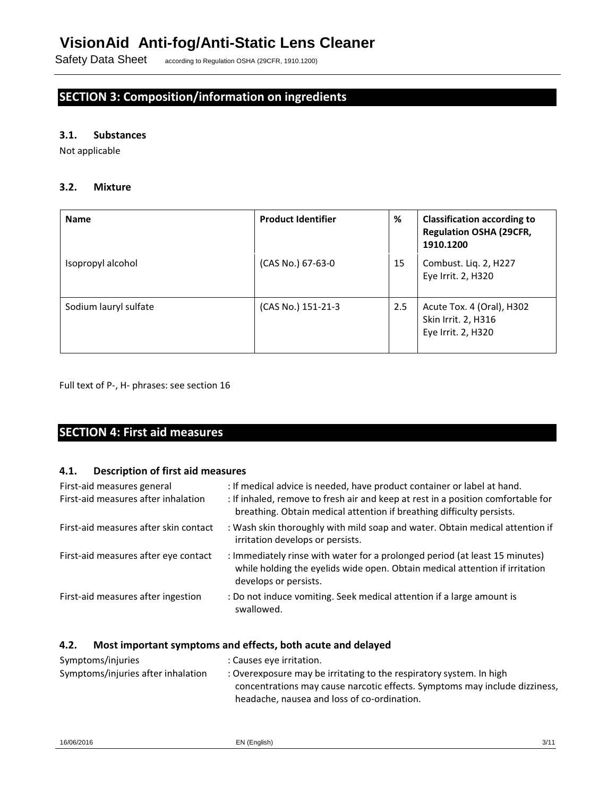Safety Data Sheet according to Regulation OSHA (29CFR, 1910.1200)

# SECTION 3: Composition/information on ingredients

## 3.1. Substances

Not applicable

### 3.2. Mixture

| <b>Name</b>           | <b>Product Identifier</b> | %   | <b>Classification according to</b><br><b>Regulation OSHA (29CFR,</b><br>1910.1200 |
|-----------------------|---------------------------|-----|-----------------------------------------------------------------------------------|
| Isopropyl alcohol     | (CAS No.) 67-63-0         | 15  | Combust. Lig. 2, H227<br>Eye Irrit. 2, H320                                       |
| Sodium lauryl sulfate | (CAS No.) 151-21-3        | 2.5 | Acute Tox. 4 (Oral), H302<br>Skin Irrit. 2, H316<br>Eye Irrit. 2, H320            |

Full text of P-, H- phrases: see section 16

# SECTION 4: First aid measures

## 4.1. Description of first aid measures

| First-aid measures general<br>First-aid measures after inhalation | : If medical advice is needed, have product container or label at hand.<br>: If inhaled, remove to fresh air and keep at rest in a position comfortable for<br>breathing. Obtain medical attention if breathing difficulty persists. |
|-------------------------------------------------------------------|--------------------------------------------------------------------------------------------------------------------------------------------------------------------------------------------------------------------------------------|
| First-aid measures after skin contact                             | : Wash skin thoroughly with mild soap and water. Obtain medical attention if<br>irritation develops or persists.                                                                                                                     |
| First-aid measures after eye contact                              | : Immediately rinse with water for a prolonged period (at least 15 minutes)<br>while holding the eyelids wide open. Obtain medical attention if irritation<br>develops or persists.                                                  |
| First-aid measures after ingestion                                | : Do not induce vomiting. Seek medical attention if a large amount is<br>swallowed.                                                                                                                                                  |

## 4.2. Most important symptoms and effects, both acute and delayed

| Symptoms/injuries                  | : Causes eye irritation.                                                   |
|------------------------------------|----------------------------------------------------------------------------|
| Symptoms/injuries after inhalation | : Overexposure may be irritating to the respiratory system. In high        |
|                                    | concentrations may cause narcotic effects. Symptoms may include dizziness, |
|                                    | headache, nausea and loss of co-ordination.                                |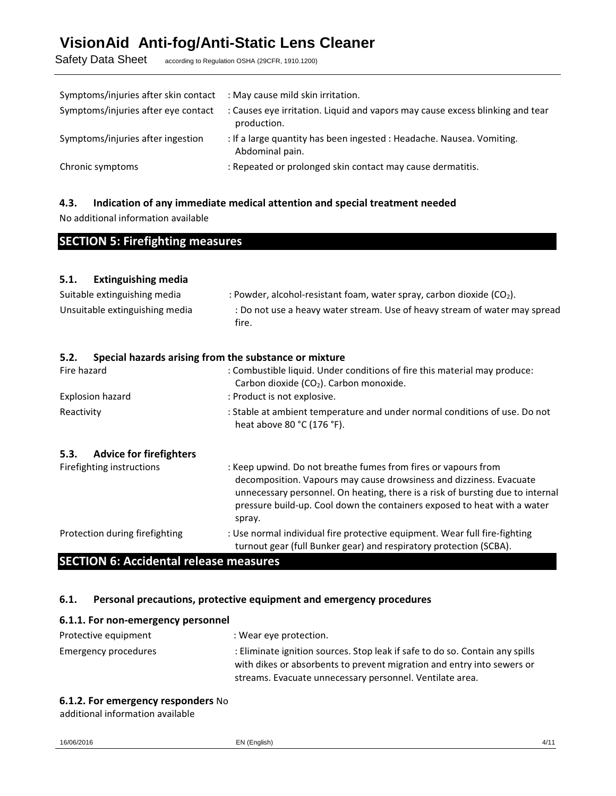Safety Data Sheet according to Regulation OSHA (29CFR, 1910.1200)

| Symptoms/injuries after skin contact | : May cause mild skin irritation.                                                            |
|--------------------------------------|----------------------------------------------------------------------------------------------|
| Symptoms/injuries after eye contact  | : Causes eye irritation. Liquid and vapors may cause excess blinking and tear<br>production. |
| Symptoms/injuries after ingestion    | : If a large quantity has been ingested : Headache. Nausea. Vomiting.<br>Abdominal pain.     |
| Chronic symptoms                     | : Repeated or prolonged skin contact may cause dermatitis.                                   |

### 4.3. Indication of any immediate medical attention and special treatment needed

No additional information available

# SECTION 5: Firefighting measures

## 5.1. Extinguishing media

| Suitable extinguishing media   | : Powder, alcohol-resistant foam, water spray, carbon dioxide $(CO2)$ .             |
|--------------------------------|-------------------------------------------------------------------------------------|
| Unsuitable extinguishing media | : Do not use a heavy water stream. Use of heavy stream of water may spread<br>fire. |

| Special hazards arising from the substance or mixture<br>5.2. |                                                                                                                                                                                                                                                                                                               |
|---------------------------------------------------------------|---------------------------------------------------------------------------------------------------------------------------------------------------------------------------------------------------------------------------------------------------------------------------------------------------------------|
| Fire hazard                                                   | : Combustible liquid. Under conditions of fire this material may produce:<br>Carbon dioxide (CO <sub>2</sub> ). Carbon monoxide.                                                                                                                                                                              |
| Explosion hazard                                              | : Product is not explosive.                                                                                                                                                                                                                                                                                   |
| Reactivity                                                    | : Stable at ambient temperature and under normal conditions of use. Do not<br>heat above 80 °C (176 °F).                                                                                                                                                                                                      |
| <b>Advice for firefighters</b><br>5.3.                        |                                                                                                                                                                                                                                                                                                               |
| Firefighting instructions                                     | : Keep upwind. Do not breathe fumes from fires or vapours from<br>decomposition. Vapours may cause drowsiness and dizziness. Evacuate<br>unnecessary personnel. On heating, there is a risk of bursting due to internal<br>pressure build-up. Cool down the containers exposed to heat with a water<br>spray. |
| Protection during firefighting                                | : Use normal individual fire protective equipment. Wear full fire-fighting<br>turnout gear (full Bunker gear) and respiratory protection (SCBA).                                                                                                                                                              |

## SECTION 6: Accidental release measures

## 6.1. Personal precautions, protective equipment and emergency procedures

| 6.1.1. For non-emergency personnel |                                                                                                                                                        |
|------------------------------------|--------------------------------------------------------------------------------------------------------------------------------------------------------|
| Protective equipment               | : Wear eye protection.                                                                                                                                 |
| Emergency procedures               | : Eliminate ignition sources. Stop leak if safe to do so. Contain any spills<br>with dikes or absorbents to prevent migration and entry into sewers or |
|                                    | streams. Evacuate unnecessary personnel. Ventilate area.                                                                                               |

#### 6.1.2. For emergency responders No

additional information available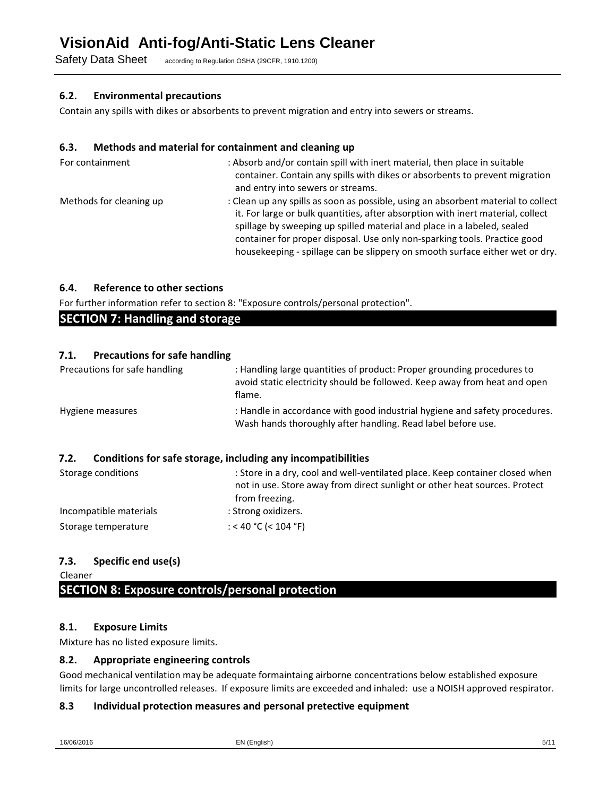Safety Data Sheet according to Regulation OSHA (29CFR, 1910.1200)

### 6.2. Environmental precautions

Contain any spills with dikes or absorbents to prevent migration and entry into sewers or streams.

### 6.3. Methods and material for containment and cleaning up

| For containment         | : Absorb and/or contain spill with inert material, then place in suitable<br>container. Contain any spills with dikes or absorbents to prevent migration<br>and entry into sewers or streams.                                                                                                                                                                                                                |
|-------------------------|--------------------------------------------------------------------------------------------------------------------------------------------------------------------------------------------------------------------------------------------------------------------------------------------------------------------------------------------------------------------------------------------------------------|
| Methods for cleaning up | : Clean up any spills as soon as possible, using an absorbent material to collect<br>it. For large or bulk quantities, after absorption with inert material, collect<br>spillage by sweeping up spilled material and place in a labeled, sealed<br>container for proper disposal. Use only non-sparking tools. Practice good<br>housekeeping - spillage can be slippery on smooth surface either wet or dry. |

## 6.4. Reference to other sections

For further information refer to section 8: "Exposure controls/personal protection".

## 7.1. Precautions for safe handling

| Precautions for safe handling | : Handling large quantities of product: Proper grounding procedures to<br>avoid static electricity should be followed. Keep away from heat and open<br>flame.                |
|-------------------------------|------------------------------------------------------------------------------------------------------------------------------------------------------------------------------|
| Hygiene measures              | : Handle in accordance with good industrial hygiene and safety procedures.<br>Wash hands thoroughly after handling. Read label before use.                                   |
| 7.2.                          | Conditions for safe storage, including any incompatibilities                                                                                                                 |
| Storage conditions            | : Store in a dry, cool and well-ventilated place. Keep container closed when<br>not in use. Store away from direct sunlight or other heat sources. Protect<br>from freezing. |
| Incompatible materials        | : Strong oxidizers.                                                                                                                                                          |

## 7.3. Specific end use(s)

Storage temperature

Cleaner

# SECTION 8: Exposure controls/personal protection

## 8.1. Exposure Limits

Mixture has no listed exposure limits.

## 8.2. Appropriate engineering controls

Good mechanical ventilation may be adequate formaintaing airborne concentrations below established exposure limits for large uncontrolled releases. If exposure limits are exceeded and inhaled: use a NOISH approved respirator.

## 8.3 Individual protection measures and personal pretective equipment

: < 40 °C (< 104 °F)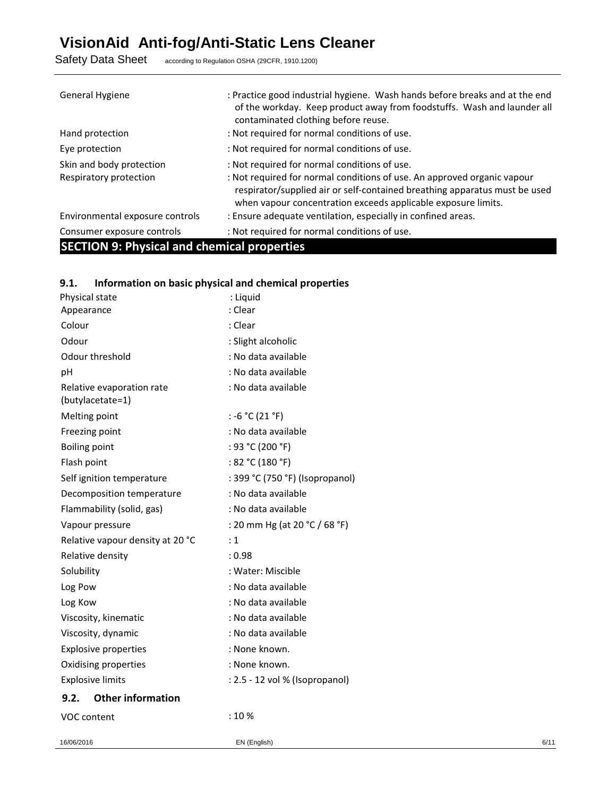Safety Data Sheet according to Regulation OSHA (29CFR, 1910.1200)

| General Hygiene                                    | : Practice good industrial hygiene. Wash hands before breaks and at the end<br>of the workday. Keep product away from foodstuffs. Wash and launder all<br>contaminated clothing before reuse.                          |
|----------------------------------------------------|------------------------------------------------------------------------------------------------------------------------------------------------------------------------------------------------------------------------|
| Hand protection                                    | : Not required for normal conditions of use.                                                                                                                                                                           |
| Eye protection                                     | : Not required for normal conditions of use.                                                                                                                                                                           |
| Skin and body protection                           | : Not required for normal conditions of use.                                                                                                                                                                           |
| Respiratory protection                             | : Not required for normal conditions of use. An approved organic vapour<br>respirator/supplied air or self-contained breathing apparatus must be used<br>when vapour concentration exceeds applicable exposure limits. |
| Environmental exposure controls                    | : Ensure adequate ventilation, especially in confined areas.                                                                                                                                                           |
| Consumer exposure controls                         | : Not required for normal conditions of use.                                                                                                                                                                           |
| <b>SECTION 9: Physical and chemical properties</b> |                                                                                                                                                                                                                        |

# 9.1. Information on basic physical and chemical properties

| Physical state                                | : Liquid                        |
|-----------------------------------------------|---------------------------------|
| Appearance                                    | : Clear                         |
| Colour                                        | : Clear                         |
| Odour                                         | : Slight alcoholic              |
| Odour threshold                               | : No data available             |
| рH                                            | : No data available             |
| Relative evaporation rate<br>(butylacetate=1) | : No data available             |
| Melting point                                 | : -6 °C (21 °F)                 |
| Freezing point                                | : No data available             |
| <b>Boiling point</b>                          | : 93 °C (200 °F)                |
| Flash point                                   | : 82 °C (180 °F)                |
| Self ignition temperature                     | : 399 °C (750 °F) (Isopropanol) |
| Decomposition temperature                     | : No data available             |
| Flammability (solid, gas)                     | : No data available             |
| Vapour pressure                               | : 20 mm Hg (at 20 °C / 68 °F)   |
| Relative vapour density at 20 °C              | : 1                             |
| Relative density                              | : 0.98                          |
| Solubility                                    | : Water: Miscible               |
| Log Pow                                       | : No data available             |
| Log Kow                                       | : No data available             |
| Viscosity, kinematic                          | : No data available             |
| Viscosity, dynamic                            | : No data available             |
| <b>Explosive properties</b>                   | : None known.                   |
| Oxidising properties                          | : None known.                   |
| <b>Explosive limits</b>                       | : 2.5 - 12 vol % (Isopropanol)  |
| <b>Other information</b><br>9.2.              |                                 |
| VOC content                                   | :10%                            |
|                                               |                                 |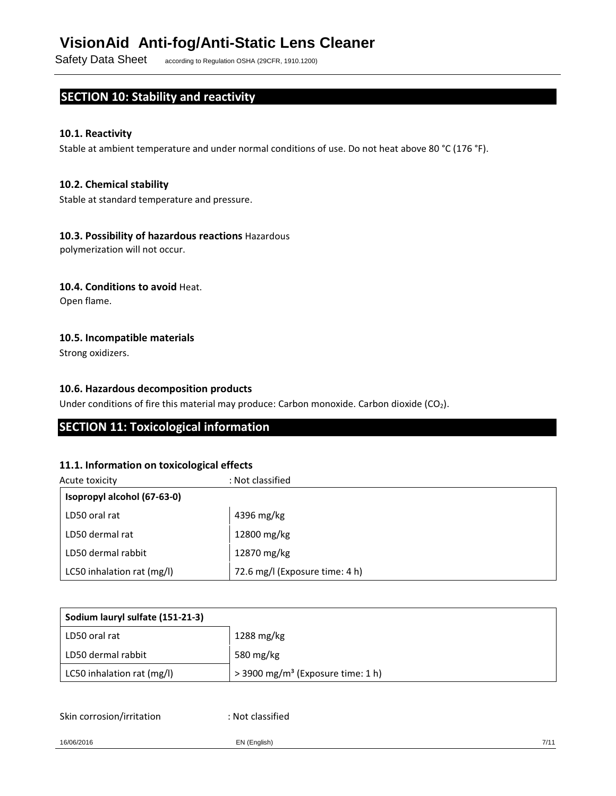Safety Data Sheet according to Regulation OSHA (29CFR, 1910.1200)

# SECTION 10: Stability and reactivity

## 10.1. Reactivity

Stable at ambient temperature and under normal conditions of use. Do not heat above 80 °C (176 °F).

### 10.2. Chemical stability

Stable at standard temperature and pressure.

#### 10.3. Possibility of hazardous reactions Hazardous

polymerization will not occur.

#### 10.4. Conditions to avoid Heat.

Open flame.

### 10.5. Incompatible materials

Strong oxidizers.

## 10.6. Hazardous decomposition products

Under conditions of fire this material may produce: Carbon monoxide. Carbon dioxide (CO<sub>2</sub>).

## SECTION 11: Toxicological information

#### 11.1. Information on toxicological effects

| Acute toxicity              | : Not classified               |
|-----------------------------|--------------------------------|
| Isopropyl alcohol (67-63-0) |                                |
| LD50 oral rat               | 4396 mg/kg                     |
| LD50 dermal rat             | 12800 mg/kg                    |
| LD50 dermal rabbit          | 12870 mg/kg                    |
| LC50 inhalation rat (mg/l)  | 72.6 mg/l (Exposure time: 4 h) |

| Sodium lauryl sulfate (151-21-3) |                                                 |
|----------------------------------|-------------------------------------------------|
| LD50 oral rat                    | 1288 mg/kg                                      |
| LD50 dermal rabbit               | 580 mg/kg                                       |
| LC50 inhalation rat (mg/l)       | $>$ 3900 mg/m <sup>3</sup> (Exposure time: 1 h) |

Skin corrosion/irritation

: Not classified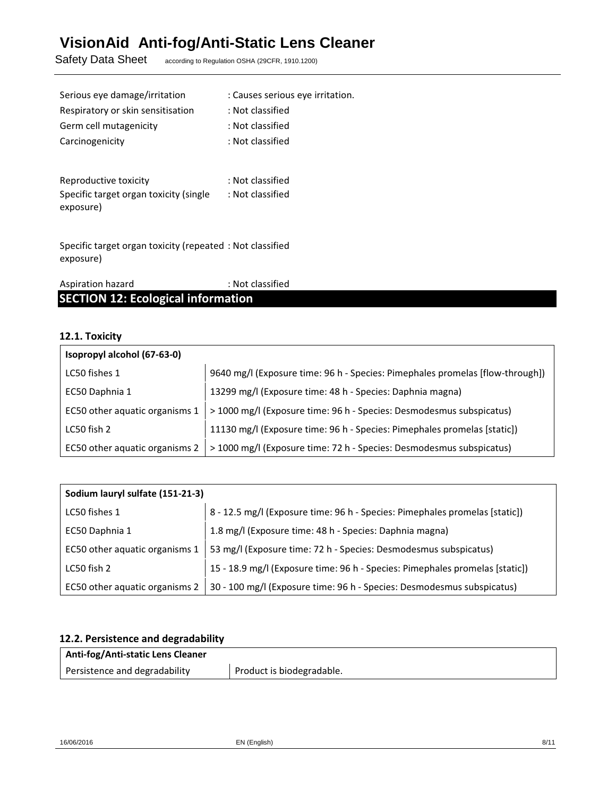Safety Data Sheet according to Regulation OSHA (29CFR, 1910.1200)

| Serious eye damage/irritation          | : Causes serious eye irritation. |
|----------------------------------------|----------------------------------|
| Respiratory or skin sensitisation      | : Not classified                 |
| Germ cell mutagenicity                 | : Not classified                 |
| Carcinogenicity                        | : Not classified                 |
|                                        |                                  |
| Reproductive toxicity                  | : Not classified                 |
| Specific target organ toxicity (single | : Not classified                 |

Specific target organ toxicity (repeated : Not classified exposure)

| Aspiration hazard                         | : Not classified |
|-------------------------------------------|------------------|
| <b>SECTION 12: Ecological information</b> |                  |

## 12.1. Toxicity

exposure)

| Isopropyl alcohol (67-63-0)    |                                                                               |
|--------------------------------|-------------------------------------------------------------------------------|
| LC50 fishes 1                  | 9640 mg/l (Exposure time: 96 h - Species: Pimephales promelas [flow-through]) |
| EC50 Daphnia 1                 | 13299 mg/l (Exposure time: 48 h - Species: Daphnia magna)                     |
| EC50 other aquatic organisms 1 | > 1000 mg/l (Exposure time: 96 h - Species: Desmodesmus subspicatus)          |
| LC50 fish 2                    | 11130 mg/l (Exposure time: 96 h - Species: Pimephales promelas [static])      |
| EC50 other aquatic organisms 2 | > 1000 mg/l (Exposure time: 72 h - Species: Desmodesmus subspicatus)          |

| Sodium lauryl sulfate (151-21-3) |                                                                              |
|----------------------------------|------------------------------------------------------------------------------|
| LC50 fishes 1                    | 8 - 12.5 mg/l (Exposure time: 96 h - Species: Pimephales promelas [static])  |
| EC50 Daphnia 1                   | 1.8 mg/l (Exposure time: 48 h - Species: Daphnia magna)                      |
| EC50 other aquatic organisms 1   | 53 mg/l (Exposure time: 72 h - Species: Desmodesmus subspicatus)             |
| LC50 fish 2                      | 15 - 18.9 mg/l (Exposure time: 96 h - Species: Pimephales promelas [static]) |
| EC50 other aquatic organisms 2   | 30 - 100 mg/l (Exposure time: 96 h - Species: Desmodesmus subspicatus)       |

# 12.2. Persistence and degradability

| Anti-fog/Anti-static Lens Cleaner |                           |
|-----------------------------------|---------------------------|
| Persistence and degradability     | Product is biodegradable. |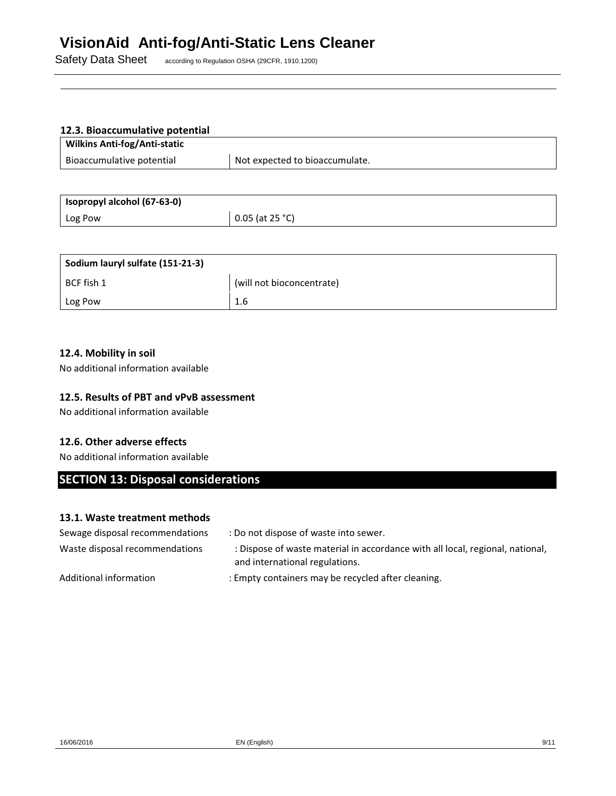Safety Data Sheet according to Regulation OSHA (29CFR, 1910.1200)

# 12.3. Bioaccumulative potential

| <b>Wilkins Anti-fog/Anti-static</b> |                                |
|-------------------------------------|--------------------------------|
| Bioaccumulative potential           | Not expected to bioaccumulate. |

| Isopropyl alcohol (67-63-0) |                   |
|-----------------------------|-------------------|
| Log Pow                     | $0.05$ (at 25 °C) |

| Sodium lauryl sulfate (151-21-3) |                           |  |
|----------------------------------|---------------------------|--|
| BCF fish 1                       | (will not bioconcentrate) |  |
| Log Pow                          | 1.6                       |  |

### 12.4. Mobility in soil

No additional information available

## 12.5. Results of PBT and vPvB assessment

No additional information available

### 12.6. Other adverse effects

No additional information available

# SECTION 13: Disposal considerations

### 13.1. Waste treatment methods

| Sewage disposal recommendations | : Do not dispose of waste into sewer.                                                                           |  |
|---------------------------------|-----------------------------------------------------------------------------------------------------------------|--|
| Waste disposal recommendations  | : Dispose of waste material in accordance with all local, regional, national,<br>and international regulations. |  |
| Additional information          | : Empty containers may be recycled after cleaning.                                                              |  |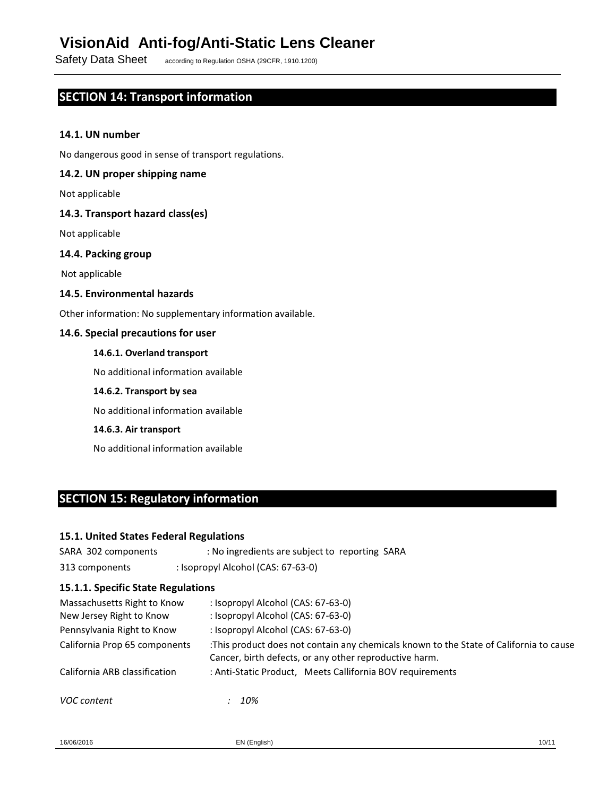Safety Data Sheet according to Regulation OSHA (29CFR, 1910.1200)

# SECTION 14: Transport information

#### 14.1. UN number

No dangerous good in sense of transport regulations.

#### 14.2. UN proper shipping name

Not applicable

#### 14.3. Transport hazard class(es)

Not applicable

## 14.4. Packing group

Not applicable

#### 14.5. Environmental hazards

Other information: No supplementary information available.

#### 14.6. Special precautions for user

#### 14.6.1. Overland transport

No additional information available

#### 14.6.2. Transport by sea

No additional information available

#### 14.6.3. Air transport

No additional information available

# SECTION 15: Regulatory information

#### 15.1. United States Federal Regulations

| SARA 302 components | : No ingredients are subject to reporting SARA |
|---------------------|------------------------------------------------|
| 313 components      | : Isopropyl Alcohol (CAS: 67-63-0)             |

#### 15.1.1. Specific State Regulations

| Massachusetts Right to Know<br>New Jersey Right to Know | : Isopropyl Alcohol (CAS: 67-63-0)<br>: Isopropyl Alcohol (CAS: 67-63-0) |                                                                                                                                                 |
|---------------------------------------------------------|--------------------------------------------------------------------------|-------------------------------------------------------------------------------------------------------------------------------------------------|
| Pennsylvania Right to Know                              | : Isopropyl Alcohol (CAS: 67-63-0)                                       |                                                                                                                                                 |
| California Prop 65 components                           |                                                                          | This product does not contain any chemicals known to the State of California to cause<br>Cancer, birth defects, or any other reproductive harm. |
| California ARB classification                           |                                                                          | : Anti-Static Product, Meets Callifornia BOV requirements                                                                                       |
| VOC content                                             | 10%                                                                      |                                                                                                                                                 |